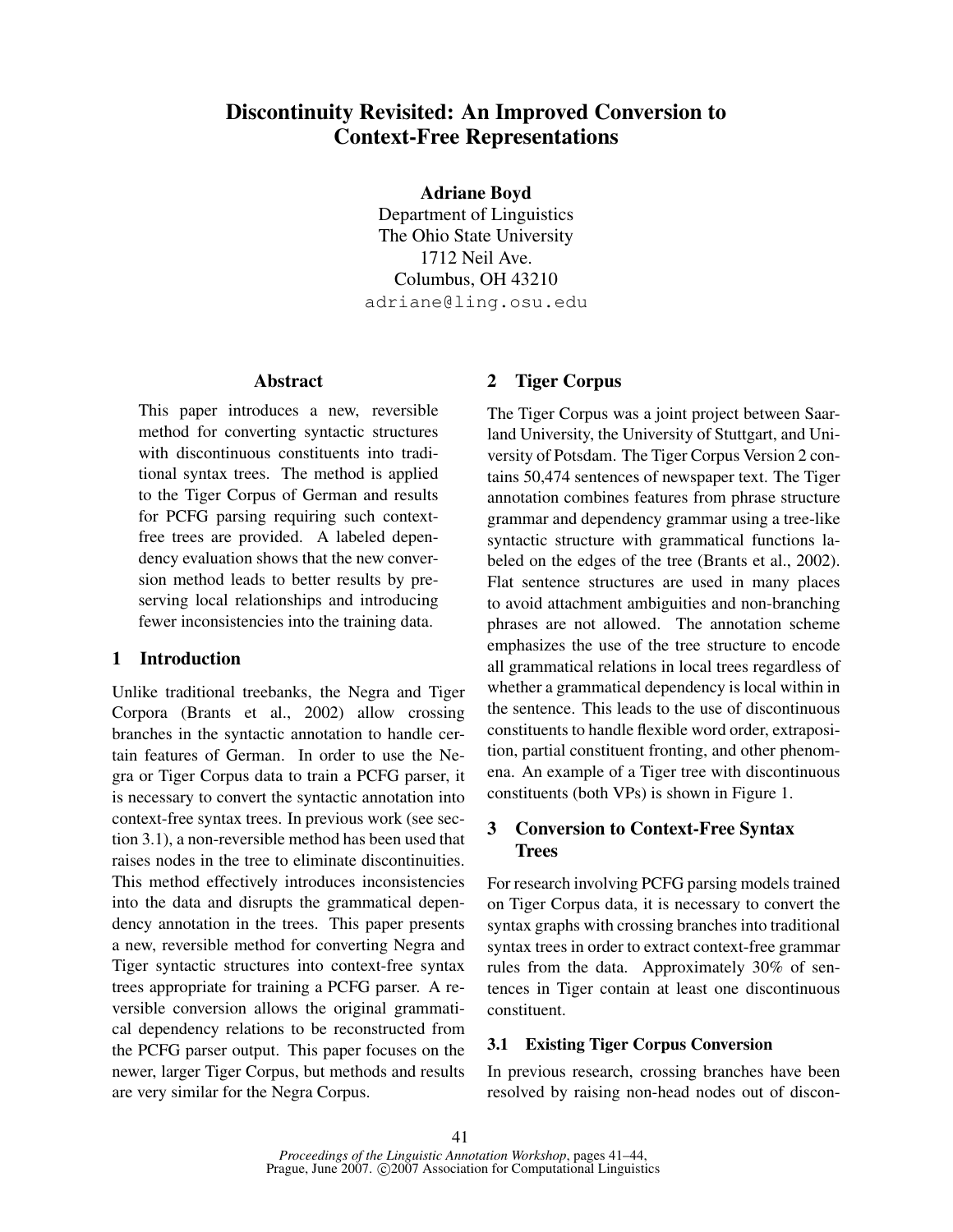# Discontinuity Revisited: An Improved Conversion to Context-Free Representations

Adriane Boyd

Department of Linguistics The Ohio State University 1712 Neil Ave. Columbus, OH 43210 adriane@ling.osu.edu

#### Abstract

This paper introduces a new, reversible method for converting syntactic structures with discontinuous constituents into traditional syntax trees. The method is applied to the Tiger Corpus of German and results for PCFG parsing requiring such contextfree trees are provided. A labeled dependency evaluation shows that the new conversion method leads to better results by preserving local relationships and introducing fewer inconsistencies into the training data.

# 1 Introduction

Unlike traditional treebanks, the Negra and Tiger Corpora (Brants et al., 2002) allow crossing branches in the syntactic annotation to handle certain features of German. In order to use the Negra or Tiger Corpus data to train a PCFG parser, it is necessary to convert the syntactic annotation into context-free syntax trees. In previous work (see section 3.1), a non-reversible method has been used that raises nodes in the tree to eliminate discontinuities. This method effectively introduces inconsistencies into the data and disrupts the grammatical dependency annotation in the trees. This paper presents a new, reversible method for converting Negra and Tiger syntactic structures into context-free syntax trees appropriate for training a PCFG parser. A reversible conversion allows the original grammatical dependency relations to be reconstructed from the PCFG parser output. This paper focuses on the newer, larger Tiger Corpus, but methods and results are very similar for the Negra Corpus.

# 2 Tiger Corpus

The Tiger Corpus was a joint project between Saarland University, the University of Stuttgart, and University of Potsdam. The Tiger Corpus Version 2 contains 50,474 sentences of newspaper text. The Tiger annotation combines features from phrase structure grammar and dependency grammar using a tree-like syntactic structure with grammatical functions labeled on the edges of the tree (Brants et al., 2002). Flat sentence structures are used in many places to avoid attachment ambiguities and non-branching phrases are not allowed. The annotation scheme emphasizes the use of the tree structure to encode all grammatical relations in local trees regardless of whether a grammatical dependency is local within in the sentence. This leads to the use of discontinuous constituents to handle flexible word order, extraposition, partial constituent fronting, and other phenomena. An example of a Tiger tree with discontinuous constituents (both VPs) is shown in Figure 1.

# 3 Conversion to Context-Free Syntax **Trees**

For research involving PCFG parsing models trained on Tiger Corpus data, it is necessary to convert the syntax graphs with crossing branches into traditional syntax trees in order to extract context-free grammar rules from the data. Approximately 30% of sentences in Tiger contain at least one discontinuous constituent.

# 3.1 Existing Tiger Corpus Conversion

In previous research, crossing branches have been resolved by raising non-head nodes out of discon-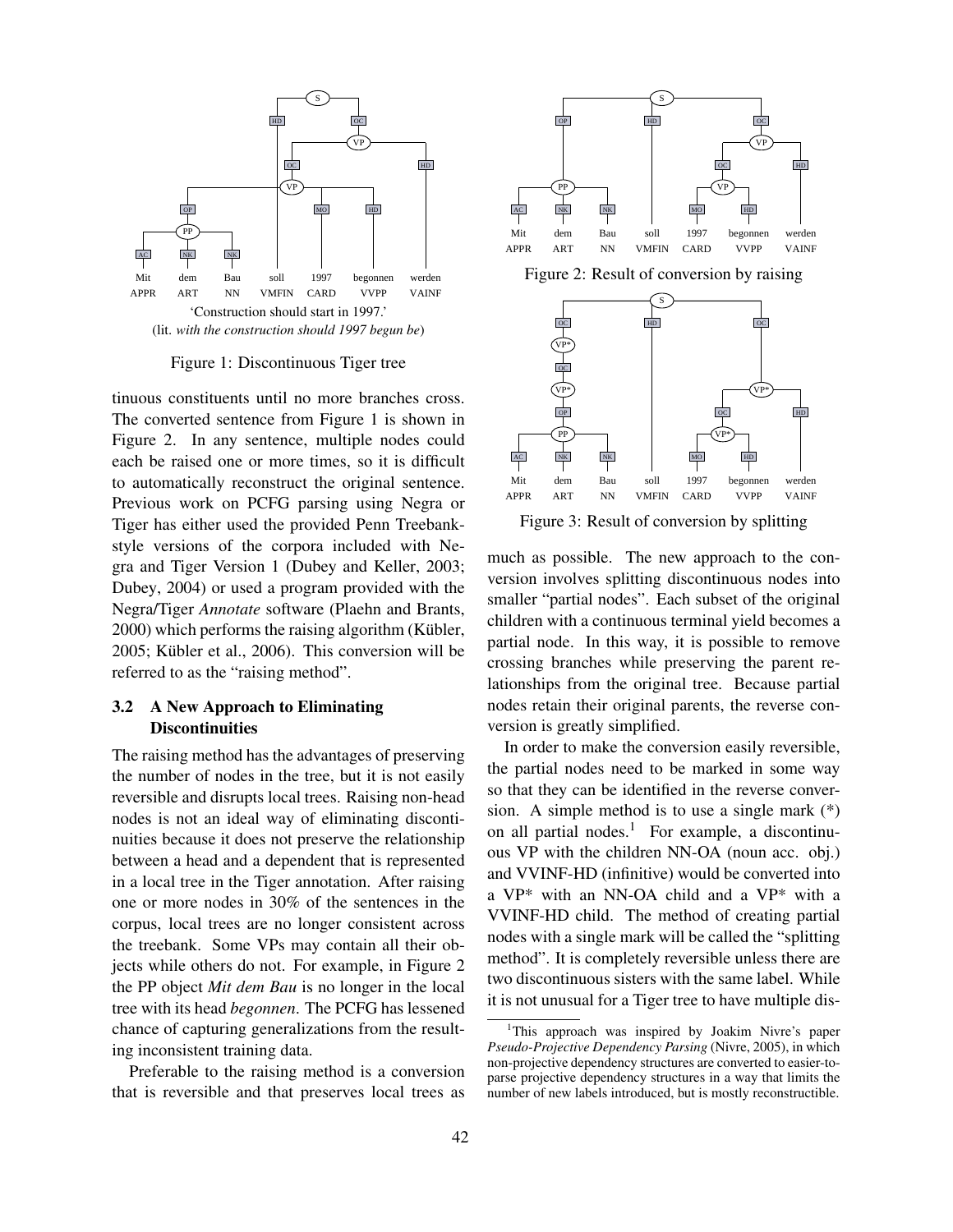

Figure 1: Discontinuous Tiger tree

tinuous constituents until no more branches cross. The converted sentence from Figure 1 is shown in Figure 2. In any sentence, multiple nodes could each be raised one or more times, so it is difficult to automatically reconstruct the original sentence. Previous work on PCFG parsing using Negra or Tiger has either used the provided Penn Treebankstyle versions of the corpora included with Negra and Tiger Version 1 (Dubey and Keller, 2003; Dubey, 2004) or used a program provided with the Negra/Tiger *Annotate* software (Plaehn and Brants, 2000) which performs the raising algorithm (Kübler,  $2005$ ; Kübler et al.,  $2006$ ). This conversion will be referred to as the "raising method".

#### 3.2 A New Approach to Eliminating **Discontinuities**

The raising method has the advantages of preserving the number of nodes in the tree, but it is not easily reversible and disrupts local trees. Raising non-head nodes is not an ideal way of eliminating discontinuities because it does not preserve the relationship between a head and a dependent that is represented in a local tree in the Tiger annotation. After raising one or more nodes in 30% of the sentences in the corpus, local trees are no longer consistent across the treebank. Some VPs may contain all their objects while others do not. For example, in Figure 2 the PP object *Mit dem Bau* is no longer in the local tree with its head *begonnen*. The PCFG has lessened chance of capturing generalizations from the resulting inconsistent training data.

Preferable to the raising method is a conversion that is reversible and that preserves local trees as



Figure 2: Result of conversion by raising



Figure 3: Result of conversion by splitting

much as possible. The new approach to the conversion involves splitting discontinuous nodes into smaller "partial nodes". Each subset of the original children with a continuous terminal yield becomes a partial node. In this way, it is possible to remove crossing branches while preserving the parent relationships from the original tree. Because partial nodes retain their original parents, the reverse conversion is greatly simplified.

In order to make the conversion easily reversible, the partial nodes need to be marked in some way so that they can be identified in the reverse conversion. A simple method is to use a single mark (\*) on all partial nodes.<sup>1</sup> For example, a discontinuous VP with the children NN-OA (noun acc. obj.) and VVINF-HD (infinitive) would be converted into a VP\* with an NN-OA child and a VP\* with a VVINF-HD child. The method of creating partial nodes with a single mark will be called the "splitting method". It is completely reversible unless there are two discontinuous sisters with the same label. While it is not unusual for a Tiger tree to have multiple dis-

<sup>&</sup>lt;sup>1</sup>This approach was inspired by Joakim Nivre's paper *Pseudo-Projective Dependency Parsing* (Nivre, 2005), in which non-projective dependency structures are converted to easier-toparse projective dependency structures in a way that limits the number of new labels introduced, but is mostly reconstructible.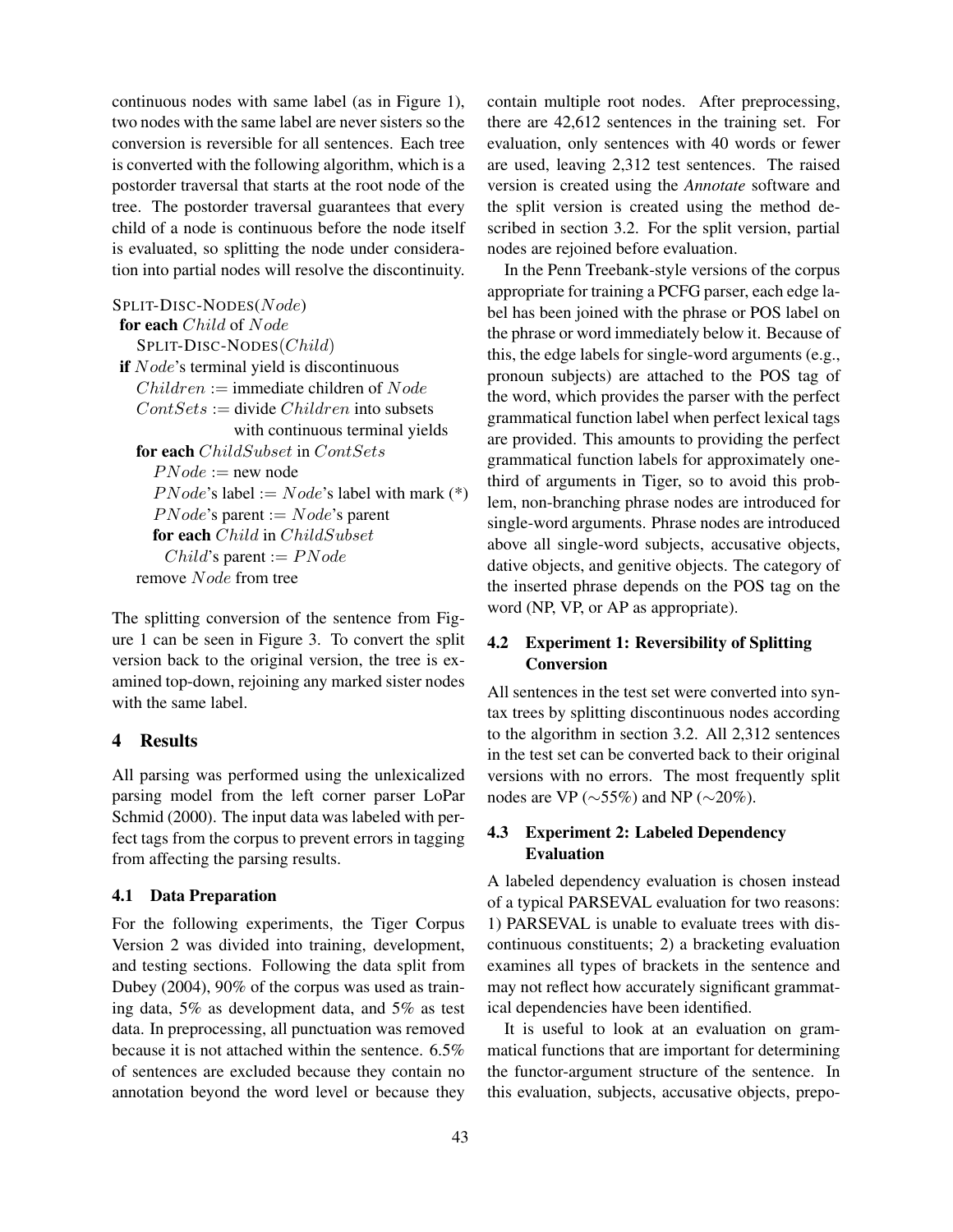continuous nodes with same label (as in Figure 1), two nodes with the same label are never sisters so the conversion is reversible for all sentences. Each tree is converted with the following algorithm, which is a postorder traversal that starts at the root node of the tree. The postorder traversal guarantees that every child of a node is continuous before the node itself is evaluated, so splitting the node under consideration into partial nodes will resolve the discontinuity.

SPLIT-DISC-NODES(Node) for each Child of Node SPLIT-DISC-NODES(Child) if *Node's* terminal yield is discontinuous  $Children :=$  immediate children of *Node*  $Contexts := divide Children$  into subsets with continuous terminal yields for each *ChildSubset* in *ContSets*  $PNode := new node$  $PNode's$  label :=  $Node's$  label with mark (\*)  $PNode's$  parent :=  $Node's$  parent for each Child in ChildSubset Child's parent :=  $PNode$ remove Node from tree

The splitting conversion of the sentence from Figure 1 can be seen in Figure 3. To convert the split version back to the original version, the tree is examined top-down, rejoining any marked sister nodes with the same label.

# 4 Results

All parsing was performed using the unlexicalized parsing model from the left corner parser LoPar Schmid (2000). The input data was labeled with perfect tags from the corpus to prevent errors in tagging from affecting the parsing results.

#### 4.1 Data Preparation

For the following experiments, the Tiger Corpus Version 2 was divided into training, development, and testing sections. Following the data split from Dubey (2004), 90% of the corpus was used as training data, 5% as development data, and 5% as test data. In preprocessing, all punctuation was removed because it is not attached within the sentence. 6.5% of sentences are excluded because they contain no annotation beyond the word level or because they

contain multiple root nodes. After preprocessing, there are 42,612 sentences in the training set. For evaluation, only sentences with 40 words or fewer are used, leaving 2,312 test sentences. The raised version is created using the *Annotate* software and the split version is created using the method described in section 3.2. For the split version, partial nodes are rejoined before evaluation.

In the Penn Treebank-style versions of the corpus appropriate for training a PCFG parser, each edge label has been joined with the phrase or POS label on the phrase or word immediately below it. Because of this, the edge labels for single-word arguments (e.g., pronoun subjects) are attached to the POS tag of the word, which provides the parser with the perfect grammatical function label when perfect lexical tags are provided. This amounts to providing the perfect grammatical function labels for approximately onethird of arguments in Tiger, so to avoid this problem, non-branching phrase nodes are introduced for single-word arguments. Phrase nodes are introduced above all single-word subjects, accusative objects, dative objects, and genitive objects. The category of the inserted phrase depends on the POS tag on the word (NP, VP, or AP as appropriate).

# 4.2 Experiment 1: Reversibility of Splitting Conversion

All sentences in the test set were converted into syntax trees by splitting discontinuous nodes according to the algorithm in section 3.2. All 2,312 sentences in the test set can be converted back to their original versions with no errors. The most frequently split nodes are VP ( $\sim$ 55%) and NP ( $\sim$ 20%).

### 4.3 Experiment 2: Labeled Dependency Evaluation

A labeled dependency evaluation is chosen instead of a typical PARSEVAL evaluation for two reasons: 1) PARSEVAL is unable to evaluate trees with discontinuous constituents; 2) a bracketing evaluation examines all types of brackets in the sentence and may not reflect how accurately significant grammatical dependencies have been identified.

It is useful to look at an evaluation on grammatical functions that are important for determining the functor-argument structure of the sentence. In this evaluation, subjects, accusative objects, prepo-